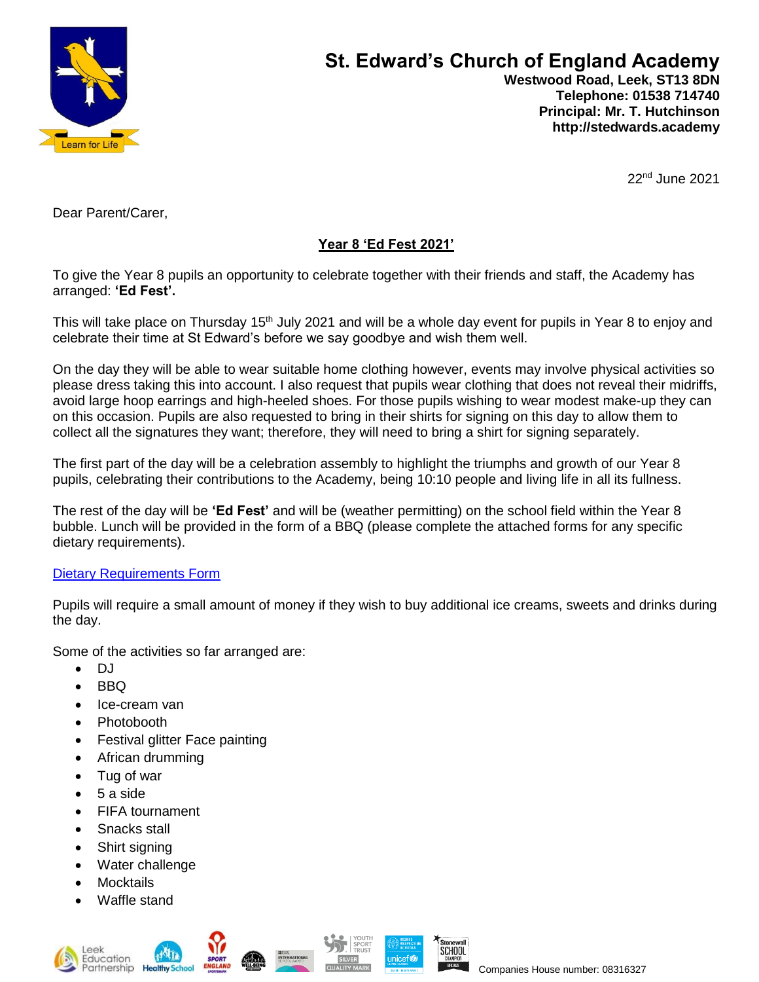

## **St. Edward's Church of England Academy Westwood Road, Leek, ST13 8DN Telephone: 01538 714740 Principal: Mr. T. Hutchinson http://stedwards.academy**

22nd June 2021

Dear Parent/Carer,

## **Year 8 'Ed Fest 2021'**

To give the Year 8 pupils an opportunity to celebrate together with their friends and staff, the Academy has arranged: **'Ed Fest'.** 

This will take place on Thursday 15<sup>th</sup> July 2021 and will be a whole day event for pupils in Year 8 to enjoy and celebrate their time at St Edward's before we say goodbye and wish them well.

On the day they will be able to wear suitable home clothing however, events may involve physical activities so please dress taking this into account. I also request that pupils wear clothing that does not reveal their midriffs, avoid large hoop earrings and high-heeled shoes. For those pupils wishing to wear modest make-up they can on this occasion. Pupils are also requested to bring in their shirts for signing on this day to allow them to collect all the signatures they want; therefore, they will need to bring a shirt for signing separately.

The first part of the day will be a celebration assembly to highlight the triumphs and growth of our Year 8 pupils, celebrating their contributions to the Academy, being 10:10 people and living life in all its fullness.

The rest of the day will be **'Ed Fest'** and will be (weather permitting) on the school field within the Year 8 bubble. Lunch will be provided in the form of a BBQ (please complete the attached forms for any specific dietary requirements).

## [Dietary Requirements Form](https://forms.office.com/Pages/ResponsePage.aspx?id=1fhjb3KZgUuT_NXvEhdWcKayiLvXvodDpRcCWau7pr1UQkZGQlA5UkFDUVdSUlJXOVQwVDhYVzFRMi4u)

Pupils will require a small amount of money if they wish to buy additional ice creams, sweets and drinks during the day.

Some of the activities so far arranged are:

- DJ
- BBQ
- Ice-cream van
- Photobooth
- Festival glitter Face painting
- African drumming
- Tug of war
- 5 a side
- FIFA tournament
- Snacks stall
- Shirt signing
- Water challenge
- Mocktails
- Waffle stand